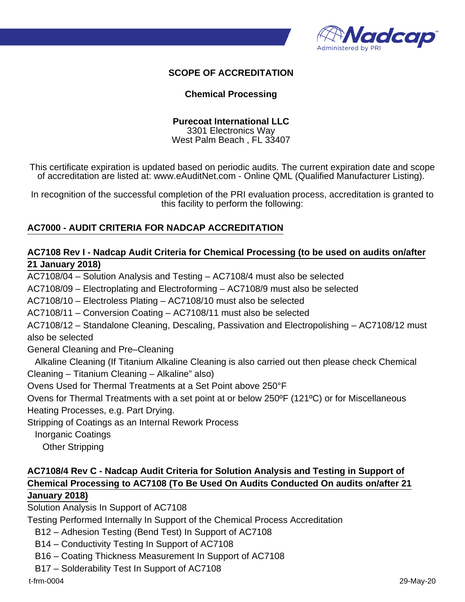

## **SCOPE OF ACCREDITATION**

#### **Chemical Processing**

#### **Purecoat International LLC**

3301 Electronics Way West Palm Beach , FL 33407

This certificate expiration is updated based on periodic audits. The current expiration date and scope of accreditation are listed at: www.eAuditNet.com - Online QML (Qualified Manufacturer Listing).

In recognition of the successful completion of the PRI evaluation process, accreditation is granted to this facility to perform the following:

## **AC7000 - AUDIT CRITERIA FOR NADCAP ACCREDITATION**

## **AC7108 Rev I - Nadcap Audit Criteria for Chemical Processing (to be used on audits on/after 21 January 2018)**

AC7108/04 – Solution Analysis and Testing – AC7108/4 must also be selected

AC7108/09 – Electroplating and Electroforming – AC7108/9 must also be selected

AC7108/10 – Electroless Plating – AC7108/10 must also be selected

AC7108/11 – Conversion Coating – AC7108/11 must also be selected

AC7108/12 – Standalone Cleaning, Descaling, Passivation and Electropolishing – AC7108/12 must also be selected

General Cleaning and Pre–Cleaning

 Alkaline Cleaning (If Titanium Alkaline Cleaning is also carried out then please check Chemical Cleaning – Titanium Cleaning – Alkaline" also)

Ovens Used for Thermal Treatments at a Set Point above 250°F

Ovens for Thermal Treatments with a set point at or below 250ºF (121ºC) or for Miscellaneous Heating Processes, e.g. Part Drying.

Stripping of Coatings as an Internal Rework Process

Inorganic Coatings

Other Stripping

## **AC7108/4 Rev C - Nadcap Audit Criteria for Solution Analysis and Testing in Support of Chemical Processing to AC7108 (To Be Used On Audits Conducted On audits on/after 21 January 2018)**

Solution Analysis In Support of AC7108

Testing Performed Internally In Support of the Chemical Process Accreditation

B12 – Adhesion Testing (Bend Test) In Support of AC7108

B14 – Conductivity Testing In Support of AC7108

B16 – Coating Thickness Measurement In Support of AC7108

B17 – Solderability Test In Support of AC7108